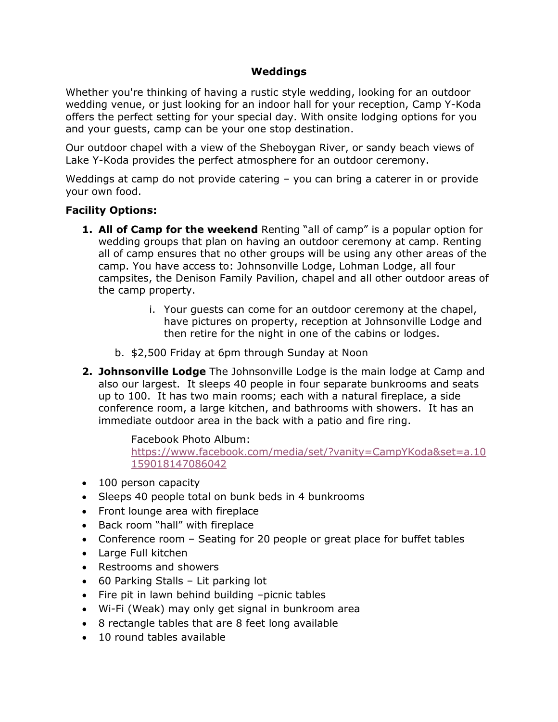## **Weddings**

Whether you're thinking of having a rustic style wedding, looking for an outdoor wedding venue, or just looking for an indoor hall for your reception, Camp Y-Koda offers the perfect setting for your special day. With onsite lodging options for you and your guests, camp can be your one stop destination.

Our outdoor chapel with a view of the Sheboygan River, or sandy beach views of Lake Y-Koda provides the perfect atmosphere for an outdoor ceremony.

Weddings at camp do not provide catering - you can bring a caterer in or provide your own food.

## **Facility Options:**

- **1. All of Camp for the weekend** Renting "all of camp" is a popular option for wedding groups that plan on having an outdoor ceremony at camp. Renting all of camp ensures that no other groups will be using any other areas of the camp. You have access to: Johnsonville Lodge, Lohman Lodge, all four campsites, the Denison Family Pavilion, chapel and all other outdoor areas of the camp property.
	- i. Your guests can come for an outdoor ceremony at the chapel, have pictures on property, reception at Johnsonville Lodge and then retire for the night in one of the cabins or lodges.
	- b. \$2,500 Friday at 6pm through Sunday at Noon
- **2. Johnsonville Lodge** The Johnsonville Lodge is the main lodge at Camp and also our largest. It sleeps 40 people in four separate bunkrooms and seats up to 100. It has two main rooms; each with a natural fireplace, a side conference room, a large kitchen, and bathrooms with showers. It has an immediate outdoor area in the back with a patio and fire ring.

Facebook Photo Album:

[https://www.facebook.com/media/set/?vanity=CampYKoda&set=a.10](https://www.facebook.com/media/set/?vanity=CampYKoda&set=a.10159018147086042) [159018147086042](https://www.facebook.com/media/set/?vanity=CampYKoda&set=a.10159018147086042)

- 100 person capacity
- Sleeps 40 people total on bunk beds in 4 bunkrooms
- Front lounge area with fireplace
- Back room "hall" with fireplace
- Conference room Seating for 20 people or great place for buffet tables
- Large Full kitchen
- Restrooms and showers
- 60 Parking Stalls Lit parking lot
- Fire pit in lawn behind building –picnic tables
- Wi-Fi (Weak) may only get signal in bunkroom area
- 8 rectangle tables that are 8 feet long available
- 10 round tables available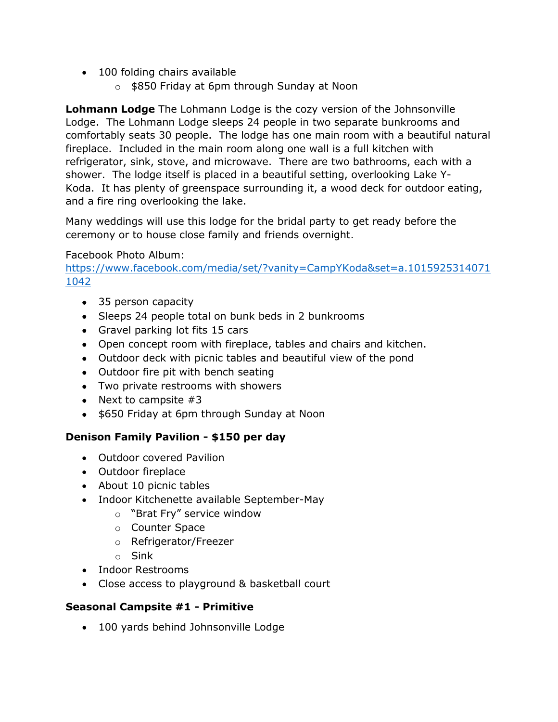- 100 folding chairs available
	- o \$850 Friday at 6pm through Sunday at Noon

**Lohmann Lodge** The Lohmann Lodge is the cozy version of the Johnsonville Lodge. The Lohmann Lodge sleeps 24 people in two separate bunkrooms and comfortably seats 30 people. The lodge has one main room with a beautiful natural fireplace. Included in the main room along one wall is a full kitchen with refrigerator, sink, stove, and microwave. There are two bathrooms, each with a shower. The lodge itself is placed in a beautiful setting, overlooking Lake Y-Koda. It has plenty of greenspace surrounding it, a wood deck for outdoor eating, and a fire ring overlooking the lake.

Many weddings will use this lodge for the bridal party to get ready before the ceremony or to house close family and friends overnight.

## Facebook Photo Album:

[https://www.facebook.com/media/set/?vanity=CampYKoda&set=a.1015925314071](https://www.facebook.com/media/set/?vanity=CampYKoda&set=a.10159253140711042) [1042](https://www.facebook.com/media/set/?vanity=CampYKoda&set=a.10159253140711042)

- 35 person capacity
- Sleeps 24 people total on bunk beds in 2 bunkrooms
- Gravel parking lot fits 15 cars
- Open concept room with fireplace, tables and chairs and kitchen.
- Outdoor deck with picnic tables and beautiful view of the pond
- Outdoor fire pit with bench seating
- Two private restrooms with showers
- Next to campsite  $#3$
- \$650 Friday at 6pm through Sunday at Noon

# **Denison Family Pavilion - \$150 per day**

- Outdoor covered Pavilion
- Outdoor fireplace
- About 10 picnic tables
- Indoor Kitchenette available September-May
	- o "Brat Fry" service window
	- o Counter Space
	- o Refrigerator/Freezer
	- o Sink
- Indoor Restrooms
- Close access to playground & basketball court

# **Seasonal Campsite #1 - Primitive**

• 100 yards behind Johnsonville Lodge